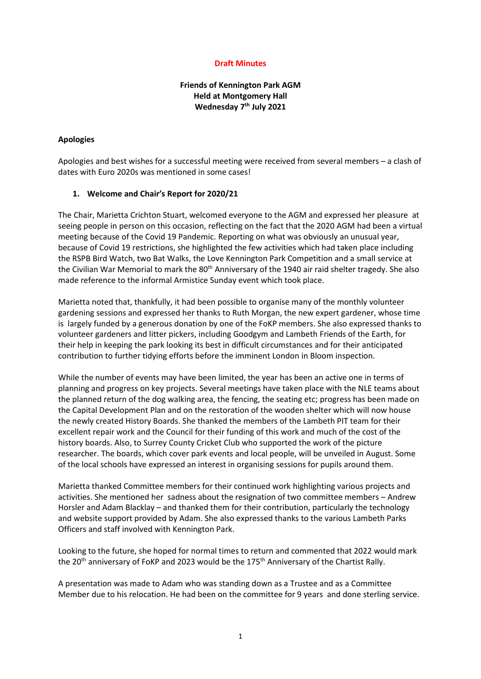#### **Draft Minutes**

### **Friends of Kennington Park AGM Held at Montgomery Hall Wednesday 7th July 2021**

#### **Apologies**

Apologies and best wishes for a successful meeting were received from several members – a clash of dates with Euro 2020s was mentioned in some cases!

#### **1. Welcome and Chair's Report for 2020/21**

The Chair, Marietta Crichton Stuart, welcomed everyone to the AGM and expressed her pleasure at seeing people in person on this occasion, reflecting on the fact that the 2020 AGM had been a virtual meeting because of the Covid 19 Pandemic. Reporting on what was obviously an unusual year, because of Covid 19 restrictions, she highlighted the few activities which had taken place including the RSPB Bird Watch, two Bat Walks, the Love Kennington Park Competition and a small service at the Civilian War Memorial to mark the 80<sup>th</sup> Anniversary of the 1940 air raid shelter tragedy. She also made reference to the informal Armistice Sunday event which took place.

Marietta noted that, thankfully, it had been possible to organise many of the monthly volunteer gardening sessions and expressed her thanks to Ruth Morgan, the new expert gardener, whose time is largely funded by a generous donation by one of the FoKP members. She also expressed thanks to volunteer gardeners and litter pickers, including Goodgym and Lambeth Friends of the Earth, for their help in keeping the park looking its best in difficult circumstances and for their anticipated contribution to further tidying efforts before the imminent London in Bloom inspection.

While the number of events may have been limited, the year has been an active one in terms of planning and progress on key projects. Several meetings have taken place with the NLE teams about the planned return of the dog walking area, the fencing, the seating etc; progress has been made on the Capital Development Plan and on the restoration of the wooden shelter which will now house the newly created History Boards. She thanked the members of the Lambeth PIT team for their excellent repair work and the Council for their funding of this work and much of the cost of the history boards. Also, to Surrey County Cricket Club who supported the work of the picture researcher. The boards, which cover park events and local people, will be unveiled in August. Some of the local schools have expressed an interest in organising sessions for pupils around them.

Marietta thanked Committee members for their continued work highlighting various projects and activities. She mentioned her sadness about the resignation of two committee members – Andrew Horsler and Adam Blacklay – and thanked them for their contribution, particularly the technology and website support provided by Adam. She also expressed thanks to the various Lambeth Parks Officers and staff involved with Kennington Park.

Looking to the future, she hoped for normal times to return and commented that 2022 would mark the 20<sup>th</sup> anniversary of FoKP and 2023 would be the 175<sup>th</sup> Anniversary of the Chartist Rally.

A presentation was made to Adam who was standing down as a Trustee and as a Committee Member due to his relocation. He had been on the committee for 9 years and done sterling service.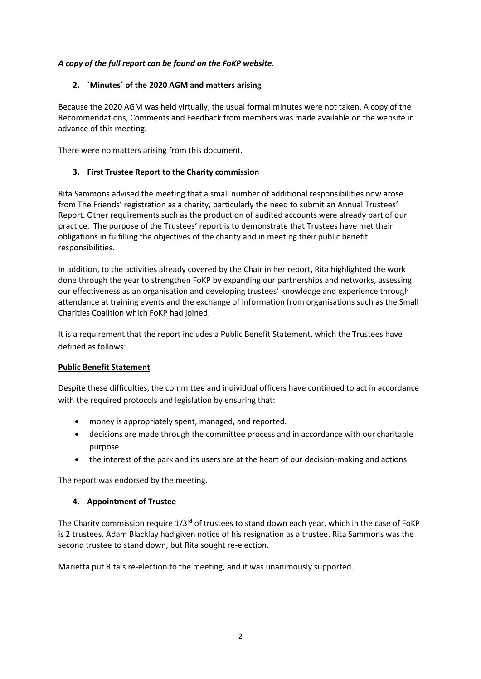## *A copy of the full report can be found on the FoKP website.*

# **2. `Minutes` of the 2020 AGM and matters arising**

Because the 2020 AGM was held virtually, the usual formal minutes were not taken. A copy of the Recommendations, Comments and Feedback from members was made available on the website in advance of this meeting.

There were no matters arising from this document.

# **3. First Trustee Report to the Charity commission**

Rita Sammons advised the meeting that a small number of additional responsibilities now arose from The Friends' registration as a charity, particularly the need to submit an Annual Trustees' Report. Other requirements such as the production of audited accounts were already part of our practice. The purpose of the Trustees' report is to demonstrate that Trustees have met their obligations in fulfilling the objectives of the charity and in meeting their public benefit responsibilities.

In addition, to the activities already covered by the Chair in her report, Rita highlighted the work done through the year to strengthen FoKP by expanding our partnerships and networks, assessing our effectiveness as an organisation and developing trustees' knowledge and experience through attendance at training events and the exchange of information from organisations such as the Small Charities Coalition which FoKP had joined.

It is a requirement that the report includes a Public Benefit Statement, which the Trustees have defined as follows:

## **Public Benefit Statement**

Despite these difficulties, the committee and individual officers have continued to act in accordance with the required protocols and legislation by ensuring that:

- money is appropriately spent, managed, and reported.
- decisions are made through the committee process and in accordance with our charitable purpose
- the interest of the park and its users are at the heart of our decision-making and actions

The report was endorsed by the meeting.

## **4. Appointment of Trustee**

The Charity commission require 1/3<sup>rd</sup> of trustees to stand down each year, which in the case of FoKP is 2 trustees. Adam Blacklay had given notice of his resignation as a trustee. Rita Sammons was the second trustee to stand down, but Rita sought re-election.

Marietta put Rita's re-election to the meeting, and it was unanimously supported.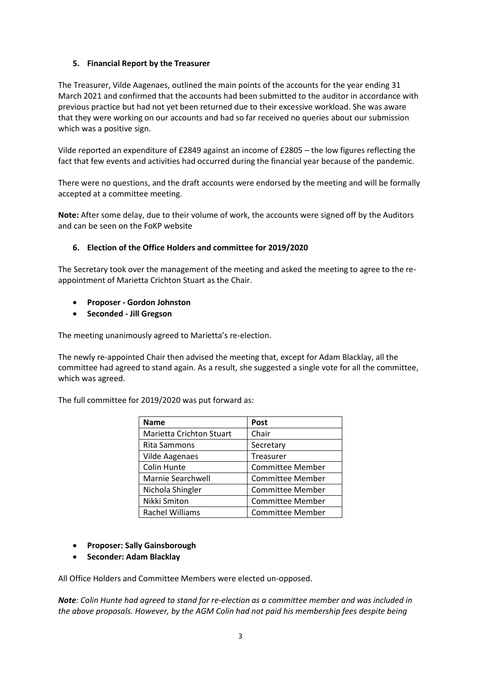### **5. Financial Report by the Treasurer**

The Treasurer, Vilde Aagenaes, outlined the main points of the accounts for the year ending 31 March 2021 and confirmed that the accounts had been submitted to the auditor in accordance with previous practice but had not yet been returned due to their excessive workload. She was aware that they were working on our accounts and had so far received no queries about our submission which was a positive sign.

Vilde reported an expenditure of £2849 against an income of £2805 – the low figures reflecting the fact that few events and activities had occurred during the financial year because of the pandemic.

There were no questions, and the draft accounts were endorsed by the meeting and will be formally accepted at a committee meeting.

**Note:** After some delay, due to their volume of work, the accounts were signed off by the Auditors and can be seen on the FoKP website

### **6. Election of the Office Holders and committee for 2019/2020**

The Secretary took over the management of the meeting and asked the meeting to agree to the reappointment of Marietta Crichton Stuart as the Chair.

## • **Proposer - Gordon Johnston**

• **Seconded - Jill Gregson**

The meeting unanimously agreed to Marietta's re-election.

The newly re-appointed Chair then advised the meeting that, except for Adam Blacklay, all the committee had agreed to stand again. As a result, she suggested a single vote for all the committee, which was agreed.

The full committee for 2019/2020 was put forward as:

| <b>Name</b>                     | Post                    |
|---------------------------------|-------------------------|
| <b>Marietta Crichton Stuart</b> | Chair                   |
| Rita Sammons                    | Secretary               |
| <b>Vilde Aagenaes</b>           | <b>Treasurer</b>        |
| Colin Hunte                     | <b>Committee Member</b> |
| Marnie Searchwell               | <b>Committee Member</b> |
| Nichola Shingler                | <b>Committee Member</b> |
| Nikki Smiton                    | Committee Member        |
| Rachel Williams                 | <b>Committee Member</b> |

- **Proposer: Sally Gainsborough**
- **Seconder: Adam Blacklay**

All Office Holders and Committee Members were elected un-opposed.

*Note: Colin Hunte had agreed to stand for re-election as a committee member and was included in the above proposals. However, by the AGM Colin had not paid his membership fees despite being*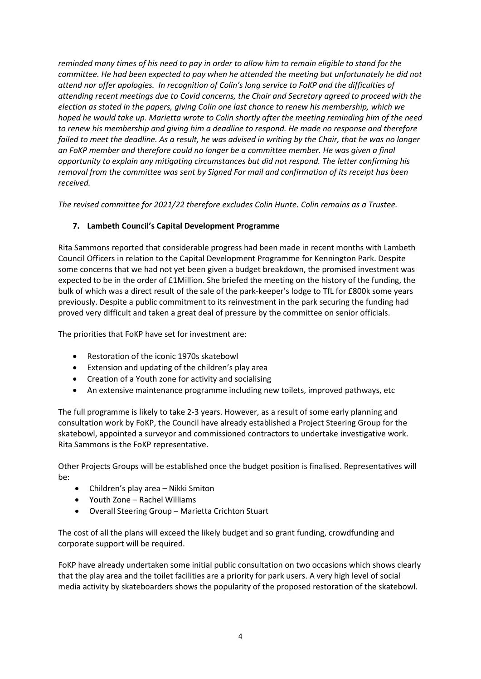*reminded many times of his need to pay in order to allow him to remain eligible to stand for the committee. He had been expected to pay when he attended the meeting but unfortunately he did not attend nor offer apologies. In recognition of Colin's long service to FoKP and the difficulties of attending recent meetings due to Covid concerns, the Chair and Secretary agreed to proceed with the election as stated in the papers, giving Colin one last chance to renew his membership, which we hoped he would take up. Marietta wrote to Colin shortly after the meeting reminding him of the need to renew his membership and giving him a deadline to respond. He made no response and therefore failed to meet the deadline. As a result, he was advised in writing by the Chair, that he was no longer an FoKP member and therefore could no longer be a committee member. He was given a final opportunity to explain any mitigating circumstances but did not respond. The letter confirming his removal from the committee was sent by Signed For mail and confirmation of its receipt has been received.* 

*The revised committee for 2021/22 therefore excludes Colin Hunte. Colin remains as a Trustee.*

# **7. Lambeth Council's Capital Development Programme**

Rita Sammons reported that considerable progress had been made in recent months with Lambeth Council Officers in relation to the Capital Development Programme for Kennington Park. Despite some concerns that we had not yet been given a budget breakdown, the promised investment was expected to be in the order of £1Million. She briefed the meeting on the history of the funding, the bulk of which was a direct result of the sale of the park-keeper's lodge to TfL for £800k some years previously. Despite a public commitment to its reinvestment in the park securing the funding had proved very difficult and taken a great deal of pressure by the committee on senior officials.

The priorities that FoKP have set for investment are:

- Restoration of the iconic 1970s skatebowl
- Extension and updating of the children's play area
- Creation of a Youth zone for activity and socialising
- An extensive maintenance programme including new toilets, improved pathways, etc

The full programme is likely to take 2-3 years. However, as a result of some early planning and consultation work by FoKP, the Council have already established a Project Steering Group for the skatebowl, appointed a surveyor and commissioned contractors to undertake investigative work. Rita Sammons is the FoKP representative.

Other Projects Groups will be established once the budget position is finalised. Representatives will be:

- Children's play area Nikki Smiton
- Youth Zone Rachel Williams
- Overall Steering Group Marietta Crichton Stuart

The cost of all the plans will exceed the likely budget and so grant funding, crowdfunding and corporate support will be required.

FoKP have already undertaken some initial public consultation on two occasions which shows clearly that the play area and the toilet facilities are a priority for park users. A very high level of social media activity by skateboarders shows the popularity of the proposed restoration of the skatebowl.